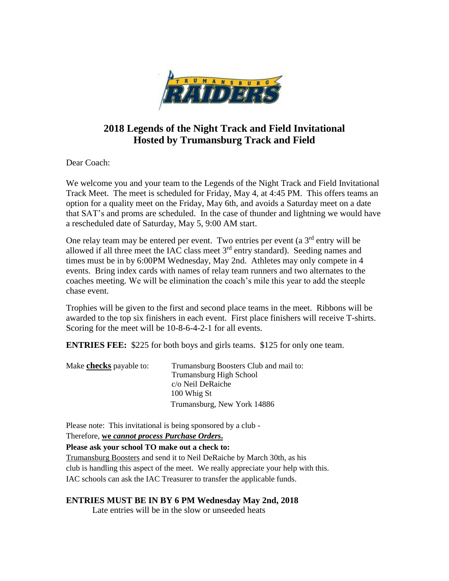

## **2018 Legends of the Night Track and Field Invitational Hosted by Trumansburg Track and Field**

Dear Coach:

We welcome you and your team to the Legends of the Night Track and Field Invitational Track Meet. The meet is scheduled for Friday, May 4, at 4:45 PM. This offers teams an option for a quality meet on the Friday, May 6th, and avoids a Saturday meet on a date that SAT's and proms are scheduled. In the case of thunder and lightning we would have a rescheduled date of Saturday, May 5, 9:00 AM start.

One relay team may be entered per event. Two entries per event (a  $3<sup>rd</sup>$  entry will be allowed if all three meet the IAC class meet 3rd entry standard). Seeding names and times must be in by 6:00PM Wednesday, May 2nd. Athletes may only compete in 4 events. Bring index cards with names of relay team runners and two alternates to the coaches meeting. We will be elimination the coach's mile this year to add the steeple chase event.

Trophies will be given to the first and second place teams in the meet. Ribbons will be awarded to the top six finishers in each event. First place finishers will receive T-shirts. Scoring for the meet will be 10-8-6-4-2-1 for all events.

**ENTRIES FEE:** \$225 for both boys and girls teams. \$125 for only one team.

| Make <b>checks</b> payable to: | Trumansburg Boosters Club and mail to: |
|--------------------------------|----------------------------------------|
|                                | Trumansburg High School                |
|                                | c/o Neil DeRaiche                      |
|                                | 100 Whig St                            |
|                                | Trumansburg, New York 14886            |

Please note: This invitational is being sponsored by a club -

Therefore, **we** *cannot process Purchase Orders***.**

**Please ask your school TO make out a check to:**

Trumansburg Boosters and send it to Neil DeRaiche by March 30th, as his club is handling this aspect of the meet. We really appreciate your help with this. IAC schools can ask the IAC Treasurer to transfer the applicable funds.

## **ENTRIES MUST BE IN BY 6 PM Wednesday May 2nd, 2018**

Late entries will be in the slow or unseeded heats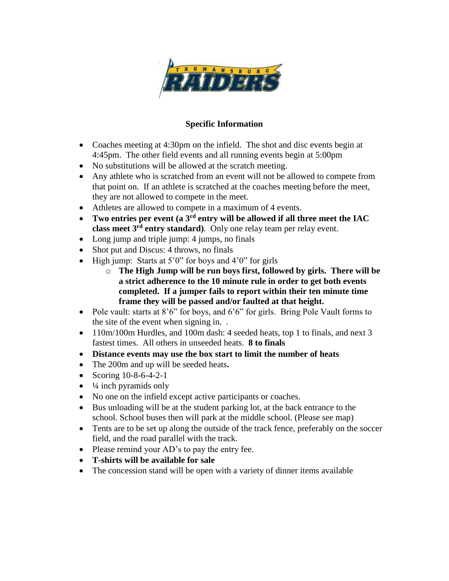

## **Specific Information**

- Coaches meeting at 4:30pm on the infield. The shot and disc events begin at 4:45pm. The other field events and all running events begin at 5:00pm
- No substitutions will be allowed at the scratch meeting.
- Any athlete who is scratched from an event will not be allowed to compete from that point on. If an athlete is scratched at the coaches meeting before the meet, they are not allowed to compete in the meet.
- Athletes are allowed to compete in a maximum of 4 events.
- **Two entries per event (a 3rd entry will be allowed if all three meet the IAC class meet 3rd entry standard)**. Only one relay team per relay event.
- Long jump and triple jump: 4 jumps, no finals
- Shot put and Discus: 4 throws, no finals
- $\bullet$  High jump: Starts at 5'0" for boys and 4'0" for girls
	- o **The High Jump will be run boys first, followed by girls. There will be a strict adherence to the 10 minute rule in order to get both events completed. If a jumper fails to report within their ten minute time frame they will be passed and/or faulted at that height.**
- Pole vault: starts at 8'6" for boys, and 6'6" for girls. Bring Pole Vault forms to the site of the event when signing in. .
- 110m/100m Hurdles, and 100m dash: 4 seeded heats, top 1 to finals, and next 3 fastest times. All others in unseeded heats. **8 to finals**
- **Distance events may use the box start to limit the number of heats**
- The 200m and up will be seeded heats**.**
- Scoring 10-8-6-4-2-1
- $\bullet$   $\frac{1}{4}$  inch pyramids only
- No one on the infield except active participants or coaches.
- Bus unloading will be at the student parking lot, at the back entrance to the school. School buses then will park at the middle school. (Please see map)
- Tents are to be set up along the outside of the track fence, preferably on the soccer field, and the road parallel with the track.
- Please remind your AD's to pay the entry fee.
- **T-shirts will be available for sale**
- The concession stand will be open with a variety of dinner items available